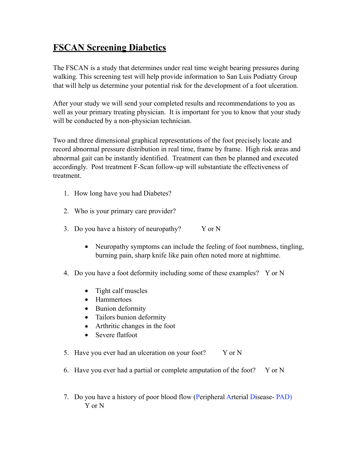## **FSCAN Screening Diabetics**

The FSCAN is a study that determines under real time weight bearing pressures during walking. This screening test will help provide information to San Luis Podiatry Group that will help us determine your potential risk for the development of a foot ulceration.

After your study we will send your completed results and recommendations to you as well as your primary treating physician. It is important for you to know that your study will be conducted by a non-physician technician.

Two and three dimensional graphical representations of the foot precisely locate and record abnormal pressure distribution in real time, frame by frame. High risk areas and abnormal gait can be instantly identified. Treatment can then be planned and executed accordingly. Post treatment F-Scan follow-up will substantiate the effectiveness of treatment.

- 1. How long have you had Diabetes?
- 2. Who is your primary care provider?
- 3. Do you have a history of neuropathy? Y or N
	- Neuropathy symptoms can include the feeling of foot numbness, tingling, burning pain, sharp knife like pain often noted more at nighttime.
- 4. Do you have a foot deformity including some of these examples? Y or N
	- Tight calf muscles
	- Hammertoes
	- Bunion deformity
	- Tailors bunion deformity
	- Arthritic changes in the foot
	- Severe flatfoot
- 5. Have you ever had an ulceration on your foot? Y or N
- 6. Have you ever had a partial or complete amputation of the foot? Y or N
- 7. Do you have a history of poor blood flow (Peripheral Arterial Disease- PAD) Y or N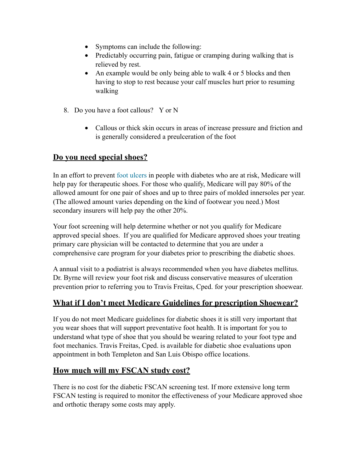- Symptoms can include the following:
- Predictably occurring pain, fatigue or cramping during walking that is relieved by rest.
- An example would be only being able to walk 4 or 5 blocks and then having to stop to rest because your calf muscles hurt prior to resuming walking
- 8. Do you have a foot callous? Y or N
	- Callous or thick skin occurs in areas of increase pressure and friction and is generally considered a preulceration of the foot

## **Do you need special shoes?**

In an effort to prevent [foot ulcers](http://www.diabetesselfmanagement.com/article.cfm?aid=237) in people with diabetes who are at risk, Medicare will help pay for therapeutic shoes. For those who qualify, Medicare will pay 80% of the allowed amount for one pair of shoes and up to three pairs of molded innersoles per year. (The allowed amount varies depending on the kind of footwear you need.) Most secondary insurers will help pay the other 20%.

Your foot screening will help determine whether or not you qualify for Medicare approved special shoes. If you are qualified for Medicare approved shoes your treating primary care physician will be contacted to determine that you are under a comprehensive care program for your diabetes prior to prescribing the diabetic shoes.

A annual visit to a podiatrist is always recommended when you have diabetes mellitus. Dr. Byrne will review your foot risk and discuss conservative measures of ulceration prevention prior to referring you to Travis Freitas, Cped. for your prescription shoewear.

## **What if I don't meet Medicare Guidelines for prescription Shoewear?**

If you do not meet Medicare guidelines for diabetic shoes it is still very important that you wear shoes that will support preventative foot health. It is important for you to understand what type of shoe that you should be wearing related to your foot type and foot mechanics. Travis Freitas, Cped. is available for diabetic shoe evaluations upon appointment in both Templeton and San Luis Obispo office locations.

## **How much will my FSCAN study cost?**

There is no cost for the diabetic FSCAN screening test. If more extensive long term FSCAN testing is required to monitor the effectiveness of your Medicare approved shoe and orthotic therapy some costs may apply.